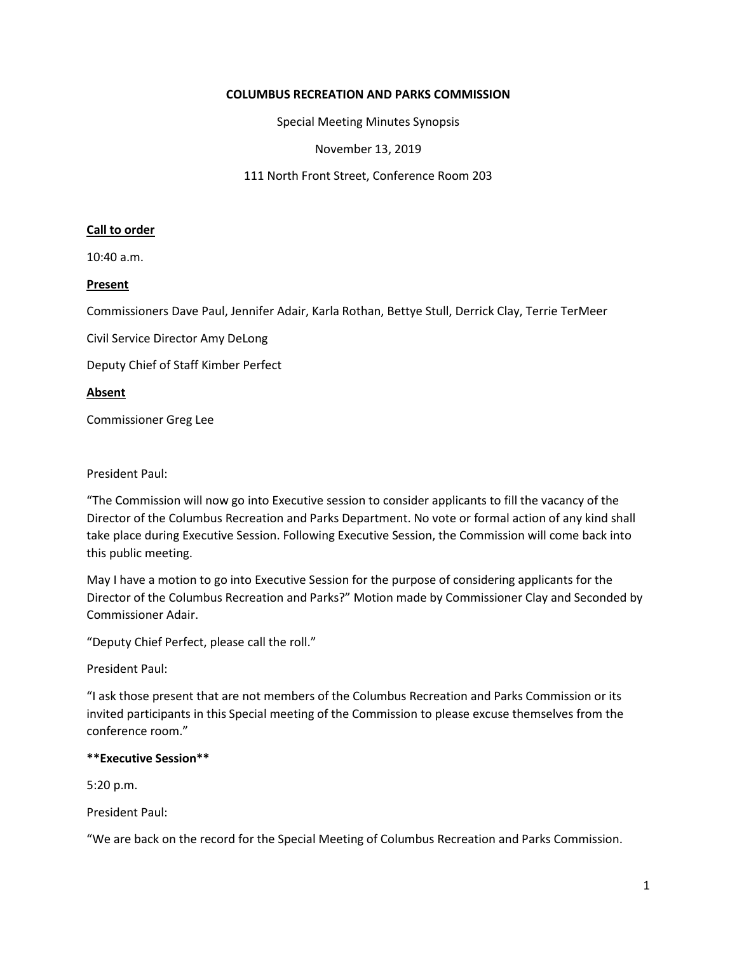# **COLUMBUS RECREATION AND PARKS COMMISSION**

Special Meeting Minutes Synopsis

November 13, 2019

111 North Front Street, Conference Room 203

### **Call to order**

10:40 a.m.

### **Present**

Commissioners Dave Paul, Jennifer Adair, Karla Rothan, Bettye Stull, Derrick Clay, Terrie TerMeer

Civil Service Director Amy DeLong

Deputy Chief of Staff Kimber Perfect

**Absent**

Commissioner Greg Lee

#### President Paul:

"The Commission will now go into Executive session to consider applicants to fill the vacancy of the Director of the Columbus Recreation and Parks Department. No vote or formal action of any kind shall take place during Executive Session. Following Executive Session, the Commission will come back into this public meeting.

May I have a motion to go into Executive Session for the purpose of considering applicants for the Director of the Columbus Recreation and Parks?" Motion made by Commissioner Clay and Seconded by Commissioner Adair.

"Deputy Chief Perfect, please call the roll."

President Paul:

"I ask those present that are not members of the Columbus Recreation and Parks Commission or its invited participants in this Special meeting of the Commission to please excuse themselves from the conference room."

# **\*\*Executive Session\*\***

5:20 p.m.

President Paul:

"We are back on the record for the Special Meeting of Columbus Recreation and Parks Commission.